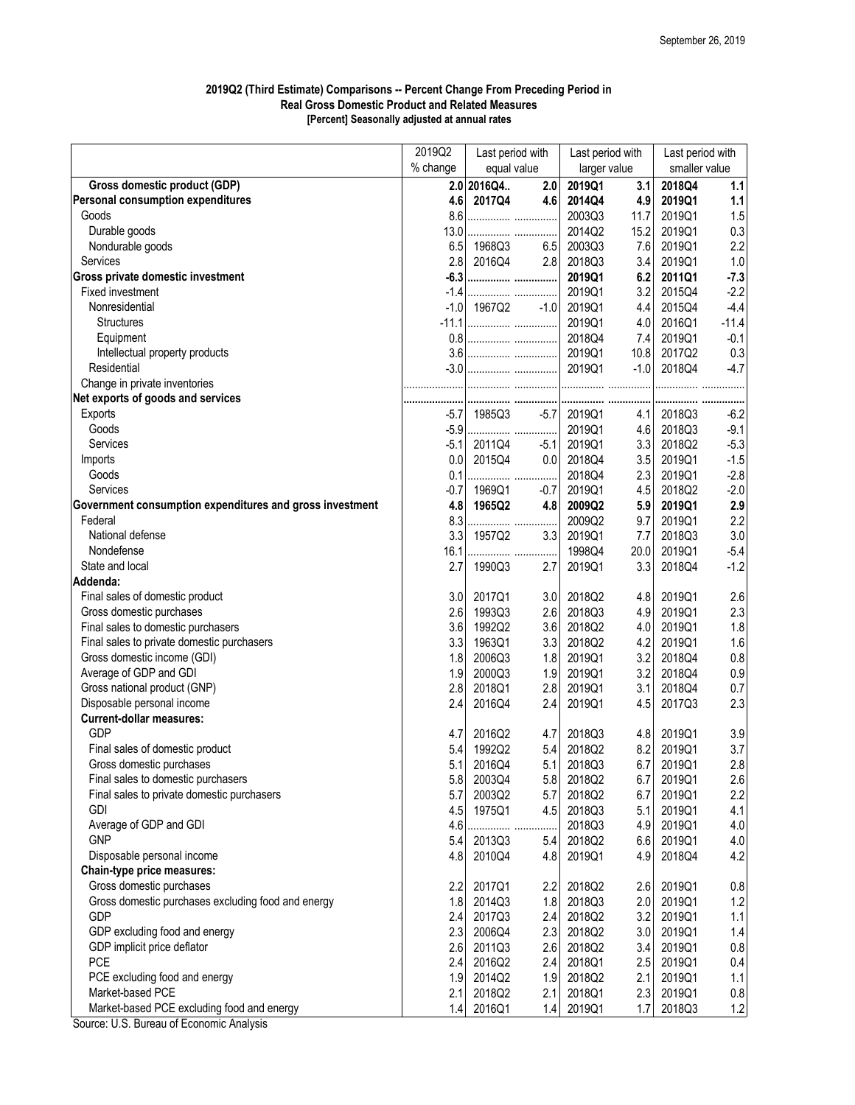## **2019Q2 (Third Estimate) Comparisons -- Percent Change From Preceding Period in Real Gross Domestic Product and Related Measures [Percent] Seasonally adjusted at annual rates**

|                                                          | 2019Q2   | Last period with |        | Last period with |            | Last period with |         |
|----------------------------------------------------------|----------|------------------|--------|------------------|------------|------------------|---------|
|                                                          | % change | equal value      |        | larger value     |            | smaller value    |         |
| <b>Gross domestic product (GDP)</b>                      |          | 2.0 2016Q4       | 2.0    | 2019Q1           | 3.1        | 2018Q4           | 1.1     |
| <b>Personal consumption expenditures</b>                 | 4.6      | 2017Q4           | 4.6    | 2014Q4           | 4.9        | 2019Q1           | 1.1     |
| Goods                                                    | 8.6      |                  |        | 2003Q3           | 11.7       | 2019Q1           | 1.5     |
| Durable goods                                            | 13.0     |                  |        | 2014Q2           | 15.2       | 2019Q1           | 0.3     |
| Nondurable goods                                         | 6.5      | 1968Q3           | 6.5    | 2003Q3           | 7.6        | 2019Q1           | 2.2     |
| Services                                                 | 2.8      | 2016Q4           | 2.8    | 2018Q3           | 3.4        | 2019Q1           | 1.0     |
| Gross private domestic investment                        |          |                  |        | 2019Q1           | 6.2        | 2011Q1           | $-7.3$  |
| Fixed investment                                         | $-1.4$   |                  |        | 2019Q1           | 3.2        | 2015Q4           | $-2.2$  |
| Nonresidential                                           | $-1.0$   | 1967Q2           | $-1.0$ | 2019Q1           | 4.4        | 2015Q4           | $-4.4$  |
| <b>Structures</b>                                        |          |                  |        | 2019Q1           | 4.0        | 2016Q1           | $-11.4$ |
| Equipment                                                |          |                  |        | 2018Q4           | 7.4        | 2019Q1           | $-0.1$  |
| Intellectual property products                           |          |                  |        | 2019Q1           | 10.8       | 2017Q2           | 0.3     |
| Residential                                              |          |                  |        | 2019Q1           | $-1.0$     | 2018Q4           | $-4.7$  |
| Change in private inventories                            |          |                  |        |                  |            |                  |         |
| Net exports of goods and services                        |          |                  |        |                  |            |                  |         |
| Exports                                                  | $-5.7$   | 1985Q3           | $-5.7$ | 2019Q1           | 4.1        | 2018Q3           | $-6.2$  |
| Goods                                                    | $-5.9$   |                  |        | 2019Q1           | 4.6        | 2018Q3           | $-9.1$  |
| <b>Services</b>                                          | $-5.1$   | 2011Q4           | $-5.1$ | 2019Q1           | 3.3        | 2018Q2           | $-5.3$  |
| Imports                                                  | 0.0      | 2015Q4           | 0.0    | 2018Q4           | 3.5        | 2019Q1           | $-1.5$  |
| Goods                                                    | 0.1      |                  |        | 2018Q4           | 2.3        | 2019Q1           | $-2.8$  |
| <b>Services</b>                                          | $-0.7$   | 1969Q1           | $-0.7$ | 2019Q1           | 4.5        | 2018Q2           | $-2.0$  |
| Government consumption expenditures and gross investment | 4.8      | 1965Q2           | 4.8    | 2009Q2           | 5.9        | 2019Q1           | 2.9     |
| Federal                                                  | 8.3      |                  |        | 2009Q2           | 9.7        | 2019Q1           | 2.2     |
| National defense                                         | 3.3      | 1957Q2           | 3.3    | 2019Q1           | 7.7        | 2018Q3           | 3.0     |
| Nondefense                                               | 16.1     |                  |        | 1998Q4           | 20.0       | 2019Q1           | $-5.4$  |
| State and local                                          | 2.7      | 1990Q3           | 2.7    | 2019Q1           | 3.3        | 2018Q4           | $-1.2$  |
| Addenda:                                                 |          |                  |        |                  |            |                  |         |
| Final sales of domestic product                          | 3.0      | 2017Q1           | 3.0    | 2018Q2           | 4.8        | 2019Q1           | 2.6     |
| Gross domestic purchases                                 | 2.6      | 1993Q3           | 2.6    | 2018Q3           |            | 4.9 2019Q1       | 2.3     |
| Final sales to domestic purchasers                       | 3.6      | 1992Q2           | 3.6    | 2018Q2           | 4.0        | 2019Q1           | 1.8     |
| Final sales to private domestic purchasers               | 3.3      | 1963Q1           | 3.3    | 2018Q2           | 4.2        | 2019Q1           | 1.6     |
| Gross domestic income (GDI)                              | 1.8      | 2006Q3           | 1.8    | 2019Q1           | 3.2        | 2018Q4           | $0.8\,$ |
| Average of GDP and GDI                                   | 1.9      | 2000Q3           | 1.9    | 2019Q1           |            | 2018Q4           | $0.9\,$ |
| Gross national product (GNP)                             | 2.8      | 2018Q1           | 2.8    | 2019Q1           | 3.2<br>3.1 | 2018Q4           | 0.7     |
| Disposable personal income                               | 2.4      | 2016Q4           | 2.4    | 2019Q1           |            | 2017Q3           |         |
| <b>Current-dollar measures:</b>                          |          |                  |        |                  | 4.5        |                  | 2.3     |
| <b>GDP</b>                                               |          |                  |        |                  |            |                  |         |
|                                                          | 4.7      | 2016Q2           | 4.7    | 2018Q3           | 4.8        | 2019Q1           | 3.9     |
| Final sales of domestic product                          | 5.4      | 1992Q2           | 5.4    | 2018Q2           | 8.2        | 2019Q1           | 3.7     |
| Gross domestic purchases                                 | 5.1      | 2016Q4           | 5.1    | 2018Q3           | 6.7        | 2019Q1           | $2.8\,$ |
| Final sales to domestic purchasers                       | 5.8      | 2003Q4           | 5.8    | 2018Q2           | 6.7        | 2019Q1           | 2.6     |
| Final sales to private domestic purchasers               | 5.7      | 2003Q2           | 5.7    | 2018Q2           | 6.7        | 2019Q1           | 2.2     |
| <b>GDI</b>                                               | 4.5      | 1975Q1           | 4.5    | 2018Q3           | 5.1        | 2019Q1           | 4.1     |
| Average of GDP and GDI                                   | 4.6      |                  |        | 2018Q3           | 4.9        | 2019Q1           | $4.0$   |
| <b>GNP</b>                                               | 5.4      | 2013Q3           | 5.4    | 2018Q2           | 6.6        | 2019Q1           | 4.0     |
| Disposable personal income                               | 4.8      | 2010Q4           | 4.8    | 2019Q1           | 4.9        | 2018Q4           | 4.2     |
| <b>Chain-type price measures:</b>                        |          |                  |        |                  |            |                  |         |
| Gross domestic purchases                                 | 2.2      | 2017Q1           | 2.2    | 2018Q2           | 2.6        | 2019Q1           | $0.8\,$ |
| Gross domestic purchases excluding food and energy       | 1.8      | 2014Q3           | 1.8    | 2018Q3           | 2.0        | 2019Q1           | 1.2     |
| <b>GDP</b>                                               | 2.4      | 2017Q3           | 2.4    | 2018Q2           | 3.2        | 2019Q1           | 1.1     |
| GDP excluding food and energy                            | 2.3      | 2006Q4           | 2.3    | 2018Q2           | 3.0        | 2019Q1           | 1.4     |
| GDP implicit price deflator                              | 2.6      | 2011Q3           | 2.6    | 2018Q2           | 3.4        | 2019Q1           | $0.8\,$ |
| <b>PCE</b>                                               | 2.4      | 2016Q2           | 2.4    | 2018Q1           | 2.5        | 2019Q1           | 0.4     |
| PCE excluding food and energy                            | 1.9      | 2014Q2           | 1.9    | 2018Q2           | 2.1        | 2019Q1           | 1.1     |
| Market-based PCE                                         | 2.1      | 2018Q2           | 2.1    | 2018Q1           | 2.3        | 2019Q1           | $0.8\,$ |
| Market-based PCE excluding food and energy               | 1.4      | 2016Q1           | 1.4    | 2019Q1           | 1.7        | 2018Q3           | 1.2     |

Source: U.S. Bureau of Economic Analysis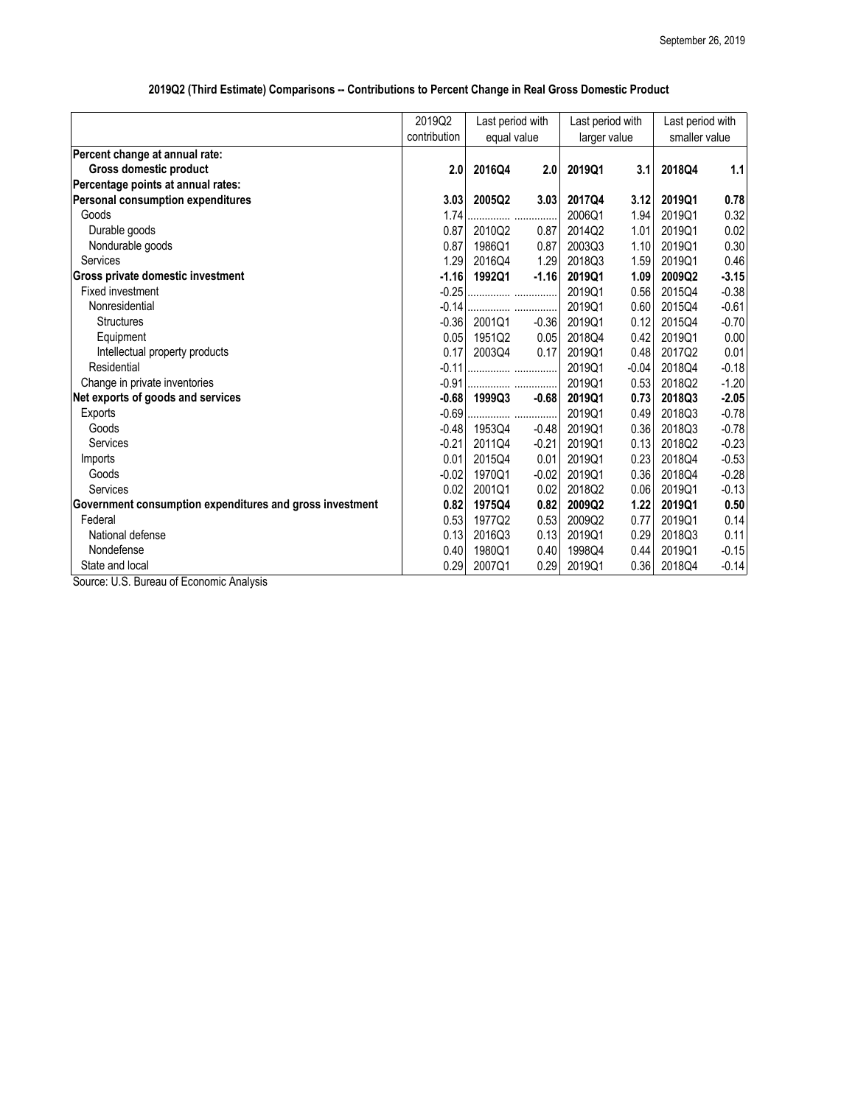|                                                          | 2019Q2<br>Last period with |             | Last period with |              | Last period with |               |         |
|----------------------------------------------------------|----------------------------|-------------|------------------|--------------|------------------|---------------|---------|
|                                                          | contribution               | equal value |                  | larger value |                  | smaller value |         |
| Percent change at annual rate:                           |                            |             |                  |              |                  |               |         |
| <b>Gross domestic product</b>                            | 2.0                        | 2016Q4      | 2.0              | 2019Q1       | 3.1              | 2018Q4        | 1.1     |
| Percentage points at annual rates:                       |                            |             |                  |              |                  |               |         |
| <b>Personal consumption expenditures</b>                 | 3.03                       | 2005Q2      | 3.03             | 2017Q4       | 3.12             | 2019Q1        | 0.78    |
| Goods                                                    | 1.74                       |             |                  | 2006Q1       | 1.94             | 2019Q1        | 0.32    |
| Durable goods                                            | 0.87                       | 2010Q2      | 0.87             | 2014Q2       | 1.01             | 2019Q1        | 0.02    |
| Nondurable goods                                         | 0.87                       | 1986Q1      | 0.87             | 2003Q3       | 1.10             | 2019Q1        | 0.30    |
| <b>Services</b>                                          | 1.29                       | 2016Q4      | 1.29             | 2018Q3       | 1.59             | 2019Q1        | 0.46    |
| Gross private domestic investment                        | $-1.16$                    | 1992Q1      | $-1.16$          | 2019Q1       | 1.09             | 2009Q2        | $-3.15$ |
| <b>Fixed investment</b>                                  | $-0.25$                    |             |                  | 2019Q1       | 0.56             | 2015Q4        | $-0.38$ |
| Nonresidential                                           | $-0.14$                    |             |                  | 2019Q1       | 0.60             | 2015Q4        | $-0.61$ |
| <b>Structures</b>                                        | $-0.36$                    | 2001Q1      | $-0.36$          | 2019Q1       | 0.12             | 2015Q4        | $-0.70$ |
| Equipment                                                | 0.05                       | 1951Q2      | 0.05             | 2018Q4       | 0.42             | 2019Q1        | 0.00    |
| Intellectual property products                           | 0.17                       | 2003Q4      | 0.17             | 2019Q1       | 0.48             | 2017Q2        | 0.01    |
| Residential                                              | $-0.11$                    |             |                  | 2019Q1       | $-0.04$          | 2018Q4        | $-0.18$ |
| Change in private inventories                            | $-0.91$                    |             |                  | 2019Q1       | 0.53             | 2018Q2        | $-1.20$ |
| Net exports of goods and services                        | $-0.68$                    | 1999Q3      | $-0.68$          | 2019Q1       | 0.73             | 2018Q3        | $-2.05$ |
| Exports                                                  | $-0.69$                    |             |                  | 2019Q1       | 0.49             | 2018Q3        | $-0.78$ |
| Goods                                                    | $-0.48$                    | 1953Q4      | $-0.48$          | 2019Q1       | 0.36             | 2018Q3        | $-0.78$ |
| Services                                                 | $-0.21$                    | 2011Q4      | $-0.21$          | 2019Q1       | 0.13             | 2018Q2        | $-0.23$ |
| Imports                                                  | 0.01                       | 2015Q4      | 0.01             | 2019Q1       | 0.23             | 2018Q4        | $-0.53$ |
| Goods                                                    | $-0.02$                    | 1970Q1      | $-0.02$          | 2019Q1       | 0.36             | 2018Q4        | $-0.28$ |
| Services                                                 | 0.02                       | 2001Q1      | 0.02             | 2018Q2       | 0.06             | 2019Q1        | $-0.13$ |
| Government consumption expenditures and gross investment | 0.82                       | 1975Q4      | 0.82             | 2009Q2       | 1.22             | 2019Q1        | 0.50    |
| Federal                                                  | 0.53                       | 1977Q2      | 0.53             | 2009Q2       | 0.77             | 2019Q1        | 0.14    |
| National defense                                         | 0.13                       | 2016Q3      | 0.13             | 2019Q1       | 0.29             | 2018Q3        | 0.11    |
| Nondefense                                               | 0.40                       | 1980Q1      | 0.40             | 1998Q4       | 0.44             | 2019Q1        | $-0.15$ |
| State and local<br>$\cdots$ $\sim$<br>$\epsilon$ $-$     | 0.29                       | 2007Q1      | 0.29             | 2019Q1       | 0.36             | 2018Q4        | $-0.14$ |

## **2019Q2 (Third Estimate) Comparisons -- Contributions to Percent Change in Real Gross Domestic Product**

Source: U.S. Bureau of Economic Analysis